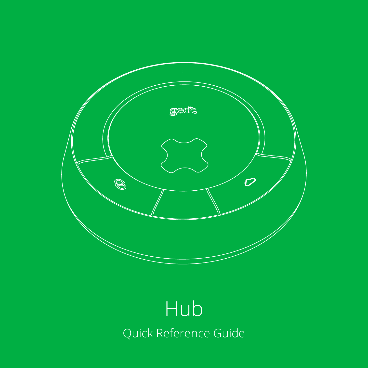

# Quick Reference Guide Hub<sup>l</sup>